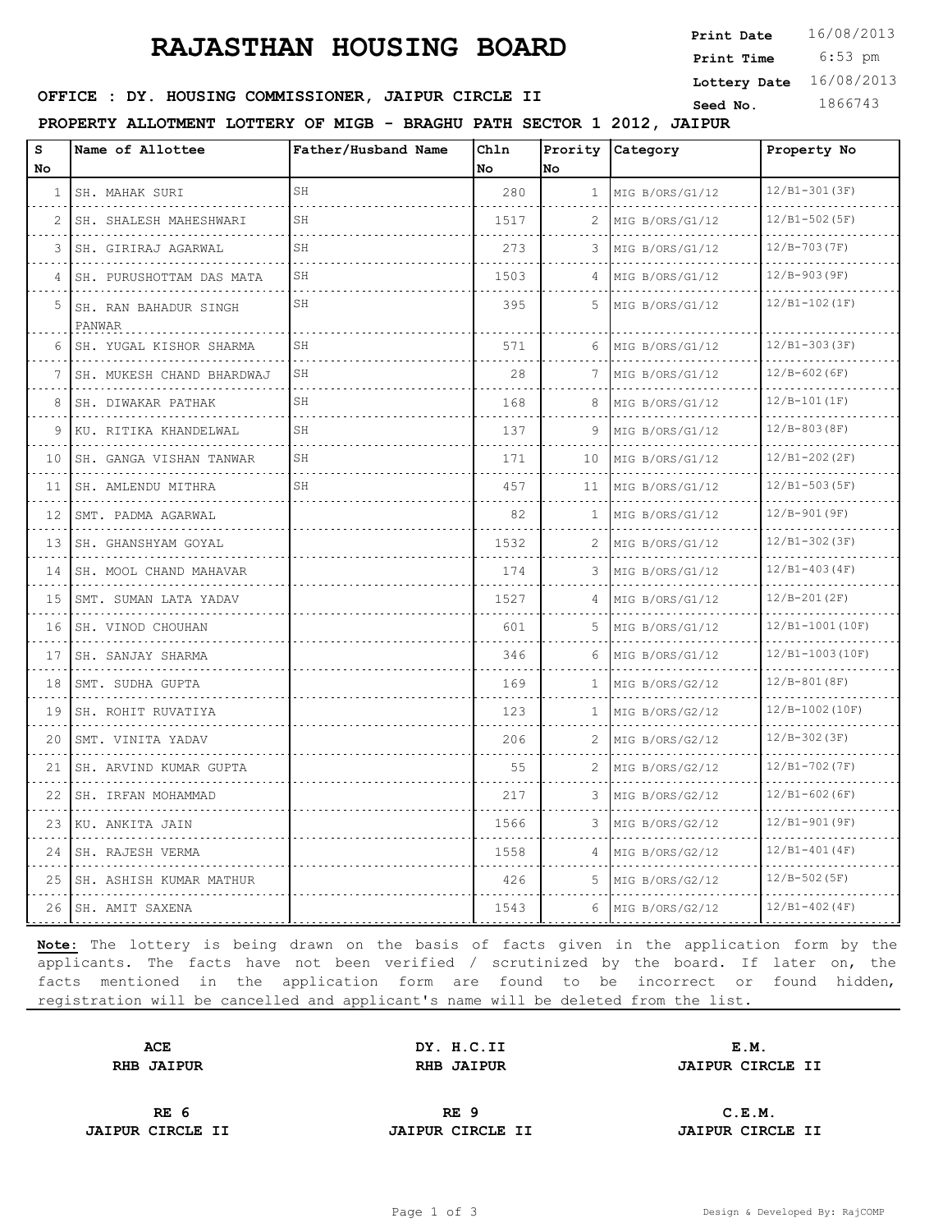# **RAJASTHAN HOUSING BOARD**

 6:53 pm **Print Time Print Date**  $16/08/2013$ **Lottery Date** 16/08/2013

# **SEED : DY. HOUSING COMMISSIONER, JAIPUR CIRCLE II** Seed No. 1866743

**PROPERTY ALLOTMENT LOTTERY OF MIGB - BRAGHU PATH SECTOR 1 2012, JAIPUR**

| s<br>No | Name of Allottee                | Father/Husband Name | Ch1n<br>l No | Prority<br>No.  | Category             | Property No      |
|---------|---------------------------------|---------------------|--------------|-----------------|----------------------|------------------|
| 1       | SH. MAHAK SURI<br>.             | SH                  | 280          | $\mathbf{1}$    | MIG B/ORS/G1/12      | $12/B1-301(3F)$  |
| 2       | SH. SHALESH MAHESHWARI<br>.     | SH                  | 1517         | 2               | MIG B/ORS/G1/12      | $12/B1-502(SF)$  |
| 3       | SH. GIRIRAJ AGARWAL             | SH                  | 273          | 3               | MIG B/ORS/G1/12      | $12/B-703(TF)$   |
| 4       | .<br>SH. PURUSHOTTAM DAS MATA   | SH                  | 1503         | 4               | MIG B/ORS/G1/12      | $12/B-903(9F)$   |
| 5       | SH. RAN BAHADUR SINGH<br>PANWAR | SH                  | 395          | 5               | MIG B/ORS/G1/12      | $12/B1-102(IF)$  |
| 6       | SH. YUGAL KISHOR SHARMA         | SH                  | 571          | 6               | MIG B/ORS/G1/12      | $12/B1-303(SF)$  |
| 7       | SH. MUKESH CHAND BHARDWAJ       | SH                  | 28           | 7               | MIG B/ORS/G1/12      | $12/B-602(6F)$   |
| 8       | SH. DIWAKAR PATHAK              | SH                  | 168          | 8               | MIG B/ORS/G1/12      | $12/B-101(IF)$   |
| 9       | KU. RITIKA KHANDELWAL           | SH                  | 137          | 9               | MIG B/ORS/G1/12      | $12/B-803(BF)$   |
| 10      | SH. GANGA VISHAN TANWAR<br>.    | SH                  | 171          | 10 <sup>°</sup> | MIG B/ORS/G1/12      | $12/B1-202(2F)$  |
| 11      | SH. AMLENDU MITHRA              | SH                  | 457          | 11              | MIG B/ORS/G1/12      | $12/B1-503(SF)$  |
| 12      | SMT. PADMA AGARWAL              |                     | 82           | 1               | MIG B/ORS/G1/12      | $12/B-901(9F)$   |
| 13      | SH. GHANSHYAM GOYAL             |                     | 1532         | 2               | MIG B/ORS/G1/12      | $12/B1-302(SF)$  |
| 14      | SH. MOOL CHAND MAHAVAR          |                     | 174          | 3               | MIG B/ORS/G1/12      | $12/B1-403(4F)$  |
| 15      | SMT. SUMAN LATA YADAV           |                     | 1527         | 4               | MIG B/ORS/G1/12<br>. | $12/B-201(2F)$   |
| 16      | SH. VINOD CHOUHAN               |                     | 601          | 5.              | MIG B/ORS/G1/12      | 12/B1-1001(10F)  |
| 17      | SH. SANJAY SHARMA               |                     | 346          | 6               | MIG B/ORS/G1/12      | 12/B1-1003(10F)  |
| 18      | SMT. SUDHA GUPTA<br>.           |                     | 169          | 1               | MIG B/ORS/G2/12<br>. | $12/B-801(BF)$   |
| 19      | SH. ROHIT RUVATIYA<br>.         |                     | 123          | $\mathbf{1}$    | MIG B/ORS/G2/12<br>. | $12/B-1002(10F)$ |
| 20      | SMT. VINITA YADAV               |                     | 206          | 2               | MIG B/ORS/G2/12      | $12/B-302(SF)$   |
| 21      | SH. ARVIND KUMAR GUPTA          |                     | 55           | 2               | MIG B/ORS/G2/12      | $12/B1-702(TF)$  |
| 22      | SH. IRFAN MOHAMMAD              |                     | 217          | 3               | MIG B/ORS/G2/12      | $12/B1-602(BF)$  |
| 23      | .<br>KU. ANKITA JAIN            |                     | 1566         | 3               | MIG B/ORS/G2/12      | $12/B1-901(9F)$  |
| 24      | .<br>SH. RAJESH VERMA           |                     | 1558         | 4               | MIG B/ORS/G2/12      | $12/B1-401(4F)$  |
| 25      | SH. ASHISH KUMAR MATHUR         |                     | 426          | 5               | MIG B/ORS/G2/12      | $12/B-502(B)$    |
| 26      | ISH. AMIT SAXENA                |                     | 1543         | 6               | MIG B/ORS/G2/12      | $12/B1-402(4F)$  |

**Note:** The lottery is being drawn on the basis of facts given in the application form by the applicants. The facts have not been verified / scrutinized by the board. If later on, the facts mentioned in the application form are found to be incorrect or found hidden, registration will be cancelled and applicant's name will be deleted from the list.

**ACE DY. H.C.II E.M.**

**RHB JAIPUR RHB JAIPUR JAIPUR CIRCLE II**

**JAIPUR CIRCLE II JAIPUR CIRCLE II JAIPUR CIRCLE II**

**RE 6 RE 9 C.E.M.**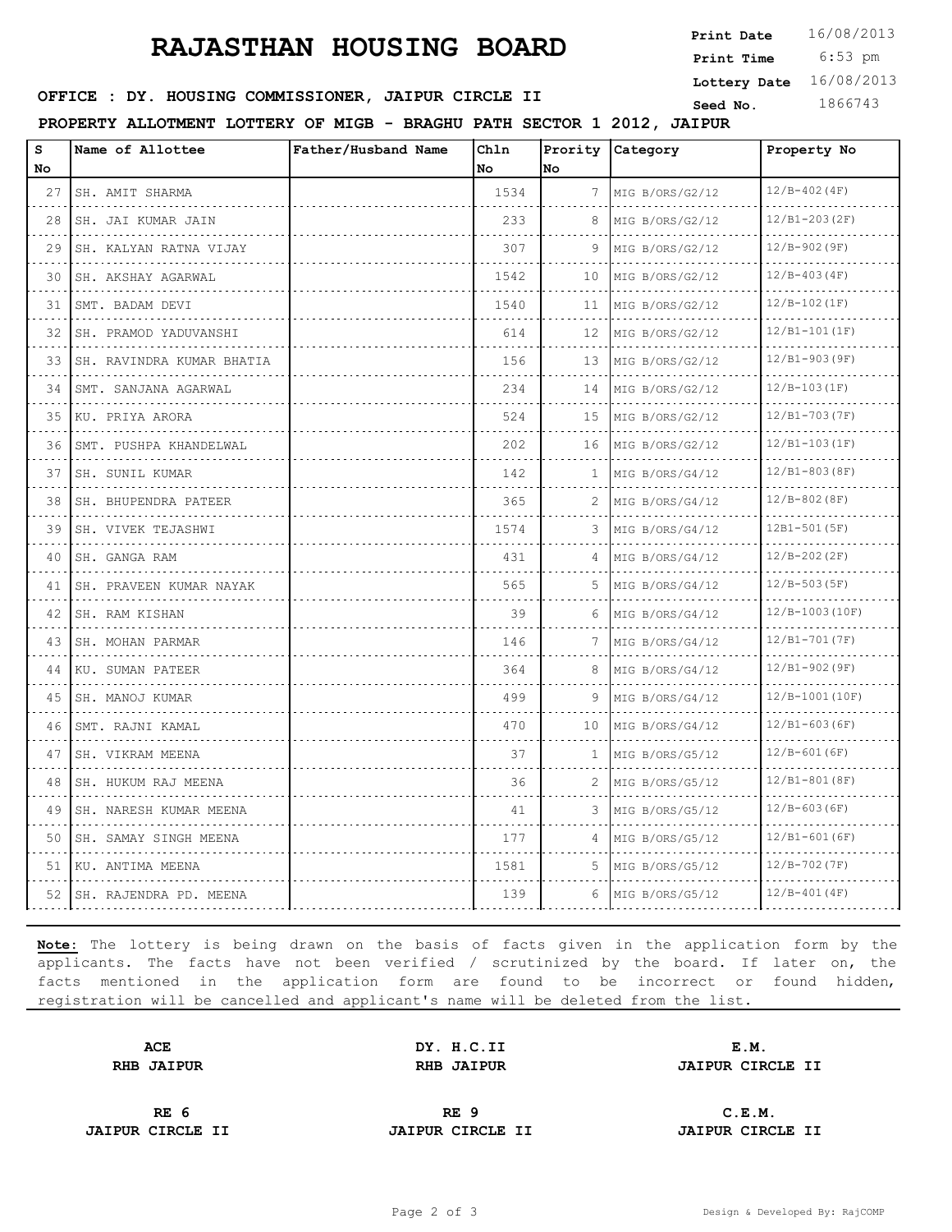# **RAJASTHAN HOUSING BOARD**

 6:53 pm **Print Date**  $16/08/2013$ **Print Time Lottery Date** 16/08/2013

# **SEED : DY. HOUSING COMMISSIONER, JAIPUR CIRCLE II** Seed No. 1866743

**PROPERTY ALLOTMENT LOTTERY OF MIGB - BRAGHU PATH SECTOR 1 2012, JAIPUR**

| s<br>No | Name of Allottee            | Father/Husband Name | Chln<br>No | No           | Prority Category          | Property No          |
|---------|-----------------------------|---------------------|------------|--------------|---------------------------|----------------------|
| 27      | SH. AMIT SHARMA             |                     | 1534       | 7            | MIG B/ORS/G2/12           | $12/B-402(4F)$       |
| 28      | .<br>SH. JAI KUMAR JAIN     |                     | 233        | 8            | .<br>MIG B/ORS/G2/12      | .<br>$12/B1-203(2F)$ |
| 29      | .<br>SH. KALYAN RATNA VIJAY |                     | 307        | 9            | MIG B/ORS/G2/12           | $12/B-902(9F)$       |
| 30      | SH. AKSHAY AGARWAL          |                     | 1542       | 10           | MIG B/ORS/G2/12           | $12/B-403(4F)$       |
| 31      | SMT. BADAM DEVI             |                     | 1540       | 11           | .<br>MIG B/ORS/G2/12      | $12/B-102(IF)$       |
| 32      | .<br>SH. PRAMOD YADUVANSHI  |                     | 614        | 12           | MIG B/ORS/G2/12           | $12/B1-101(IF)$      |
| 33      | SH. RAVINDRA KUMAR BHATIA   |                     | 156        | 13           | MIG B/ORS/G2/12           | $12/B1-903(P)$       |
| 34      | SMT. SANJANA AGARWAL        |                     | 234        | 14           | .<br>MIG B/ORS/G2/12      | $12/B-103(IF)$       |
| 35      | KU. PRIYA ARORA             |                     | 524        | 15           | MIG B/ORS/G2/12           | $12/B1-703(TF)$      |
| 36      | SMT. PUSHPA KHANDELWAL      |                     | 202        |              | 16   MIG B/ORS/G2/12<br>. | $12/B1-103(IF)$      |
| 37      | SH. SUNIL KUMAR<br>.        |                     | 142        | 1            | MIG B/ORS/G4/12           | $12/B1-803(BF)$      |
| 38      | SH. BHUPENDRA PATEER        |                     | 365        | 2            | MIG B/ORS/G4/12           | $12/B-802(BF)$       |
| 39      | SH. VIVEK TEJASHWI<br>.     |                     | 1574       | 3            | MIG B/ORS/G4/12           | 12B1-501 (5F)        |
| 40      | SH. GANGA RAM               |                     | 431        | 4            | MIG B/ORS/G4/12           | $12/B - 202(2F)$     |
| 41      | SH. PRAVEEN KUMAR NAYAK     |                     | 565        | 5.           | MIG B/ORS/G4/12           | $12/B-503(SF)$       |
| 42      | SH. RAM KISHAN<br>.         |                     | 39         | 6            | MIG B/ORS/G4/12<br>.      | $12/B-1003(10F)$     |
| 43      | SH. MOHAN PARMAR<br>.       |                     | 146        | 7            | MIG B/ORS/G4/12           | $12/B1-701(TF)$      |
| 44      | KU. SUMAN PATEER            |                     | 364        | 8            | MIG B/ORS/G4/12           | $12/B1-902(9F)$      |
| 45      | SH. MANOJ KUMAR<br>.        |                     | 499        | 9            | MIG B/ORS/G4/12<br>.      | 12/B-1001(10F)       |
| 46      | SMT. RAJNI KAMAL            |                     | 470        | 10           | MIG B/ORS/G4/12           | $12/B1-603(BF)$      |
| 47      | SH. VIKRAM MEENA            |                     | 37         | $\mathbf{1}$ | MIG B/ORS/G5/12           | $12/B-601(GF)$       |
| 48      | SH. HUKUM RAJ MEENA         |                     | 36         | 2            | MIG B/ORS/G5/12<br>.      | $12/B1-801(SF)$      |
| 49      | SH. NARESH KUMAR MEENA      |                     | 41         | 3            | MIG B/ORS/G5/12           | $12/B-603(BF)$       |
| 50      | SH. SAMAY SINGH MEENA       |                     | 177        | 4            | MIG B/ORS/G5/12           | $12/B1-601(6F)$      |
| 51      | KU. ANTIMA MEENA            |                     | 1581       | .5.          | MIG B/ORS/G5/12           | $12/B-702(TF)$       |
| 52      | SH. RAJENDRA PD. MEENA      |                     | 139        | 6            | MIG B/ORS/G5/12           | $12/B-401(4F)$       |

**Note:** The lottery is being drawn on the basis of facts given in the application form by the applicants. The facts have not been verified / scrutinized by the board. If later on, the facts mentioned in the application form are found to be incorrect or found hidden, registration will be cancelled and applicant's name will be deleted from the list.

**ACE DY. H.C.II E.M.**

**RHB JAIPUR RHB JAIPUR JAIPUR CIRCLE II**

**JAIPUR CIRCLE II JAIPUR CIRCLE II JAIPUR CIRCLE II**

**RE 6 RE 9 C.E.M.**